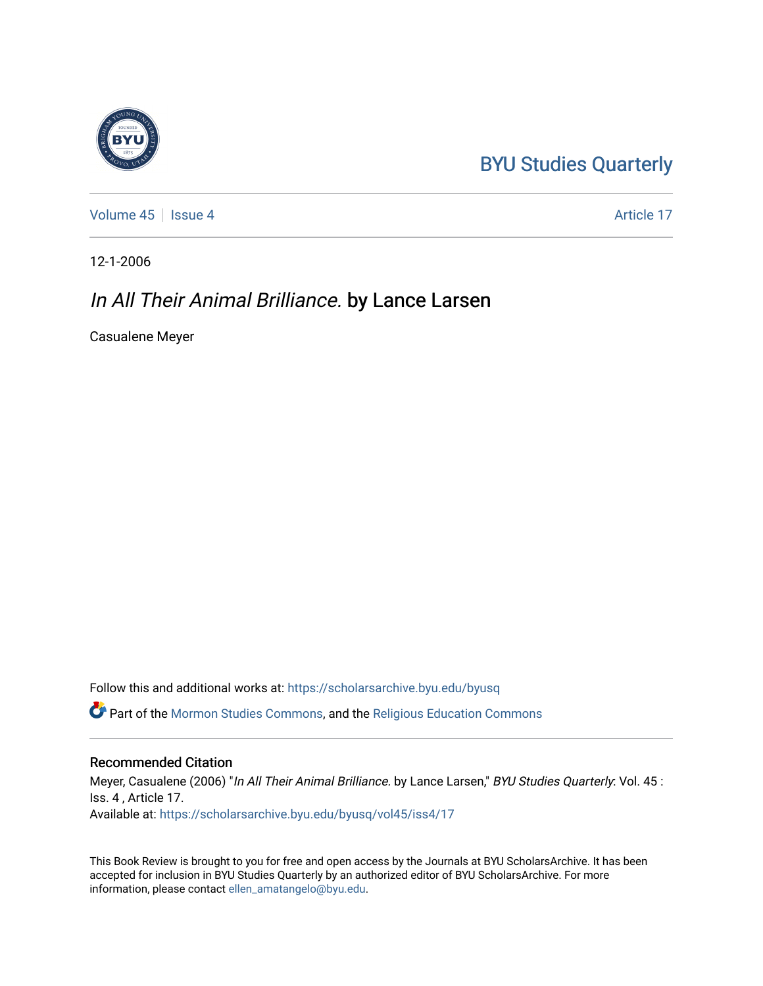## [BYU Studies Quarterly](https://scholarsarchive.byu.edu/byusq)

[Volume 45](https://scholarsarchive.byu.edu/byusq/vol45) | [Issue 4](https://scholarsarchive.byu.edu/byusq/vol45/iss4) Article 17

12-1-2006

## In All Their Animal Brilliance. by Lance Larsen

Casualene Meyer

Follow this and additional works at: [https://scholarsarchive.byu.edu/byusq](https://scholarsarchive.byu.edu/byusq?utm_source=scholarsarchive.byu.edu%2Fbyusq%2Fvol45%2Fiss4%2F17&utm_medium=PDF&utm_campaign=PDFCoverPages) 

Part of the [Mormon Studies Commons](http://network.bepress.com/hgg/discipline/1360?utm_source=scholarsarchive.byu.edu%2Fbyusq%2Fvol45%2Fiss4%2F17&utm_medium=PDF&utm_campaign=PDFCoverPages), and the [Religious Education Commons](http://network.bepress.com/hgg/discipline/1414?utm_source=scholarsarchive.byu.edu%2Fbyusq%2Fvol45%2Fiss4%2F17&utm_medium=PDF&utm_campaign=PDFCoverPages) 

## Recommended Citation

Meyer, Casualene (2006) "In All Their Animal Brilliance. by Lance Larsen," BYU Studies Quarterly: Vol. 45 : Iss. 4 , Article 17. Available at: [https://scholarsarchive.byu.edu/byusq/vol45/iss4/17](https://scholarsarchive.byu.edu/byusq/vol45/iss4/17?utm_source=scholarsarchive.byu.edu%2Fbyusq%2Fvol45%2Fiss4%2F17&utm_medium=PDF&utm_campaign=PDFCoverPages) 

This Book Review is brought to you for free and open access by the Journals at BYU ScholarsArchive. It has been accepted for inclusion in BYU Studies Quarterly by an authorized editor of BYU ScholarsArchive. For more information, please contact [ellen\\_amatangelo@byu.edu.](mailto:ellen_amatangelo@byu.edu)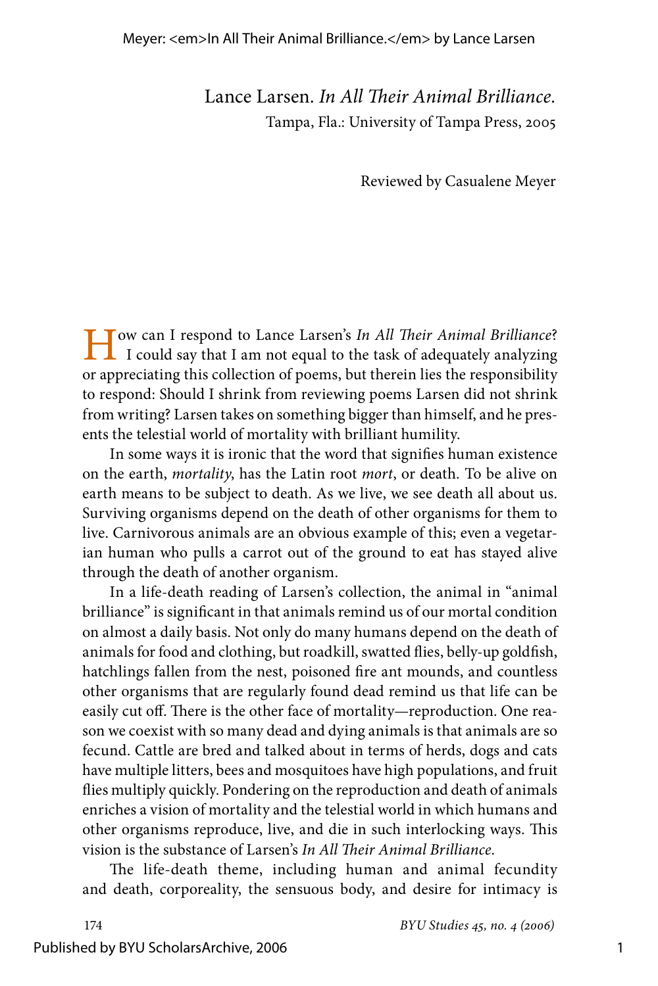Lance Larsen. *In All Their Animal Brilliance.* Tampa, Fla.: University of Tampa Press, 2005

Reviewed by Casualene Meyer

How can I respond to Lance Larsen's *In All Their Animal Brilliance*? I could say that I am not equal to the task of adequately analyzing or appreciating this collection of poems, but therein lies the responsibility to respond: Should I shrink from reviewing poems Larsen did not shrink from writing? Larsen takes on something bigger than himself, and he presents the telestial world of mortality with brilliant humility.

In some ways it is ironic that the word that signifies human existence on the earth, *mortality*, has the Latin root *mort*, or death*.* To be alive on earth means to be subject to death. As we live, we see death all about us. Surviving organisms depend on the death of other organisms for them to live. Carnivorous animals are an obvious example of this; even a vegetarian human who pulls a carrot out of the ground to eat has stayed alive through the death of another organism.

In a life-death reading of Larsen's collection, the animal in "animal brilliance" is significant in that animals remind us of our mortal condition on almost a daily basis. Not only do many humans depend on the death of animals for food and clothing, but roadkill, swatted flies, belly-up goldfish, hatchlings fallen from the nest, poisoned fire ant mounds, and countless other organisms that are regularly found dead remind us that life can be easily cut off. There is the other face of mortality—reproduction. One reason we coexist with so many dead and dying animals is that animals are so fecund. Cattle are bred and talked about in terms of herds, dogs and cats have multiple litters, bees and mosquitoes have high populations, and fruit flies multiply quickly. Pondering on the reproduction and death of animals enriches a vision of mortality and the telestial world in which humans and other organisms reproduce, live, and die in such interlocking ways. This vision is the substance of Larsen's *In All Their Animal Brilliance*.

The life-death theme, including human and animal fecundity and death, corporeality, the sensuous body, and desire for intimacy is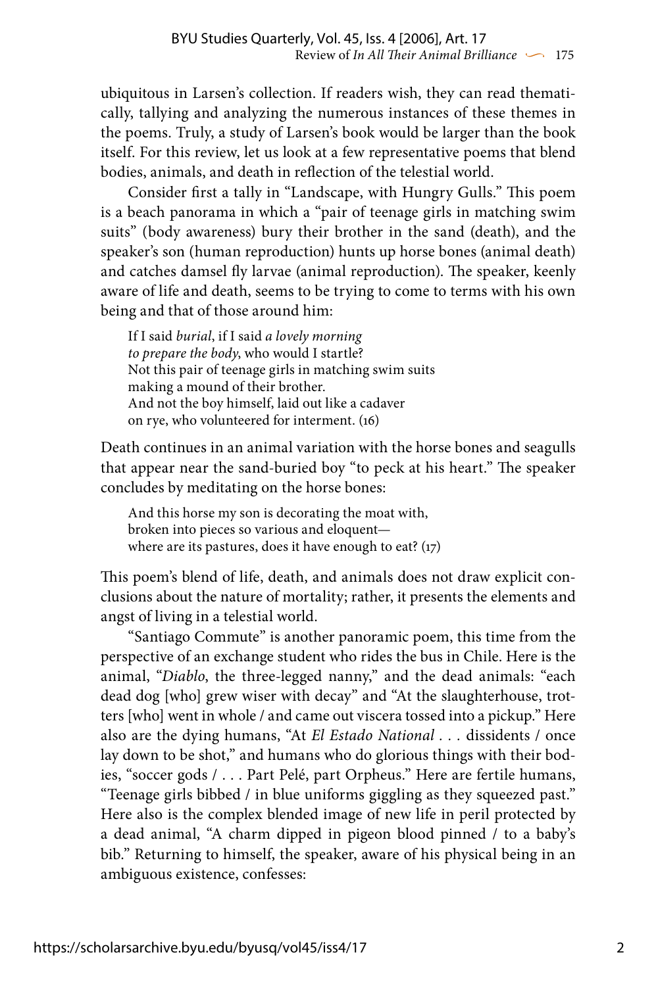ubiquitous in Larsen's collection. If readers wish, they can read thematically, tallying and analyzing the numerous instances of these themes in the poems. Truly, a study of Larsen's book would be larger than the book itself. For this review, let us look at a few representative poems that blend bodies, animals, and death in reflection of the telestial world.

Consider first a tally in "Landscape, with Hungry Gulls." This poem is a beach panorama in which a "pair of teenage girls in matching swim suits" (body awareness) bury their brother in the sand (death), and the speaker's son (human reproduction) hunts up horse bones (animal death) and catches damsel fly larvae (animal reproduction). The speaker, keenly aware of life and death, seems to be trying to come to terms with his own being and that of those around him:

If I said *burial*, if I said *a lovely morning to prepare the body*, who would I startle? Not this pair of teenage girls in matching swim suits making a mound of their brother. And not the boy himself, laid out like a cadaver on rye, who volunteered for interment. (16)

Death continues in an animal variation with the horse bones and seagulls that appear near the sand-buried boy "to peck at his heart." The speaker concludes by meditating on the horse bones:

And this horse my son is decorating the moat with, broken into pieces so various and eloquent where are its pastures, does it have enough to eat? (17)

This poem's blend of life, death, and animals does not draw explicit conclusions about the nature of mortality; rather, it presents the elements and angst of living in a telestial world.

"Santiago Commute" is another panoramic poem, this time from the perspective of an exchange student who rides the bus in Chile. Here is the animal, "*Diablo*, the three-legged nanny," and the dead animals: "each dead dog [who] grew wiser with decay" and "At the slaughterhouse, trotters [who] went in whole / and came out viscera tossed into a pickup." Here also are the dying humans, "At *El Estado National . . .* dissidents / once lay down to be shot," and humans who do glorious things with their bodies, "soccer gods / . . . Part Pelé, part Orpheus." Here are fertile humans, "Teenage girls bibbed / in blue uniforms giggling as they squeezed past." Here also is the complex blended image of new life in peril protected by a dead animal, "A charm dipped in pigeon blood pinned / to a baby's bib." Returning to himself, the speaker, aware of his physical being in an ambiguous existence, confesses: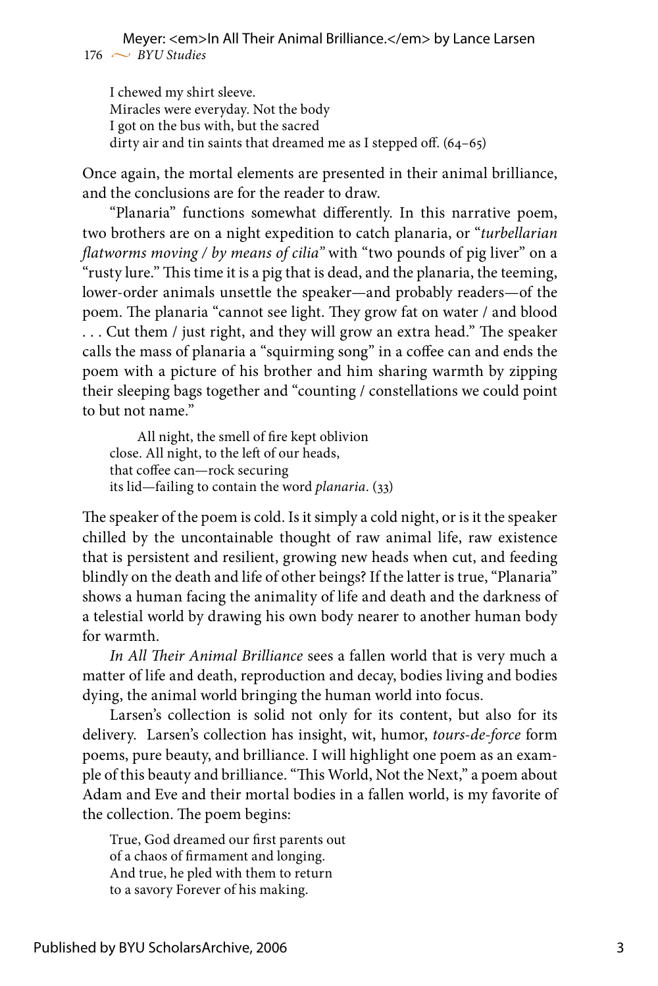## $176 \sim BVU$  Studies Meyer: <em>In All Their Animal Brilliance.</em> by Lance Larsen

I chewed my shirt sleeve. Miracles were everyday. Not the body I got on the bus with, but the sacred dirty air and tin saints that dreamed me as I stepped off. (64–65)

Once again, the mortal elements are presented in their animal brilliance, and the conclusions are for the reader to draw.

"Planaria" functions somewhat differently. In this narrative poem, two brothers are on a night expedition to catch planaria, or "*turbellarian flatworms moving / by means of cilia"* with "two pounds of pig liver" on a "rusty lure." This time it is a pig that is dead, and the planaria, the teeming, lower-order animals unsettle the speaker—and probably readers—of the poem. The planaria "cannot see light. They grow fat on water / and blood . . . Cut them / just right, and they will grow an extra head." The speaker calls the mass of planaria a "squirming song" in a coffee can and ends the poem with a picture of his brother and him sharing warmth by zipping their sleeping bags together and "counting / constellations we could point to but not name."

All night, the smell of fire kept oblivion close. All night, to the left of our heads, that coffee can—rock securing its lid—failing to contain the word *planaria*. (33)

The speaker of the poem is cold. Is it simply a cold night, or is it the speaker chilled by the uncontainable thought of raw animal life, raw existence that is persistent and resilient, growing new heads when cut, and feeding blindly on the death and life of other beings? If the latter is true, "Planaria" shows a human facing the animality of life and death and the darkness of a telestial world by drawing his own body nearer to another human body for warmth.

*In All Their Animal Brilliance* sees a fallen world that is very much a matter of life and death, reproduction and decay, bodies living and bodies dying, the animal world bringing the human world into focus.

Larsen's collection is solid not only for its content, but also for its delivery. Larsen's collection has insight, wit, humor, *tours-de-force* form poems, pure beauty, and brilliance. I will highlight one poem as an example of this beauty and brilliance. "This World, Not the Next," a poem about Adam and Eve and their mortal bodies in a fallen world, is my favorite of the collection. The poem begins:

True, God dreamed our first parents out of a chaos of firmament and longing. And true, he pled with them to return to a savory Forever of his making.